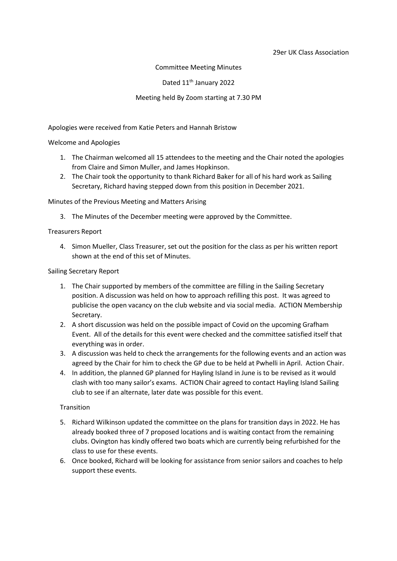#### 29er UK Class Association

#### Committee Meeting Minutes

#### Dated 11<sup>th</sup> January 2022

### Meeting held By Zoom starting at 7.30 PM

Apologies were received from Katie Peters and Hannah Bristow

#### Welcome and Apologies

- 1. The Chairman welcomed all 15 attendees to the meeting and the Chair noted the apologies from Claire and Simon Muller, and James Hopkinson.
- 2. The Chair took the opportunity to thank Richard Baker for all of his hard work as Sailing Secretary, Richard having stepped down from this position in December 2021.

#### Minutes of the Previous Meeting and Matters Arising

3. The Minutes of the December meeting were approved by the Committee.

#### Treasurers Report

4. Simon Mueller, Class Treasurer, set out the position for the class as per his written report shown at the end of this set of Minutes.

## Sailing Secretary Report

- 1. The Chair supported by members of the committee are filling in the Sailing Secretary position. A discussion was held on how to approach refilling this post. It was agreed to publicise the open vacancy on the club website and via social media. ACTION Membership Secretary.
- 2. A short discussion was held on the possible impact of Covid on the upcoming Grafham Event. All of the details for this event were checked and the committee satisfied itself that everything was in order.
- 3. A discussion was held to check the arrangements for the following events and an action was agreed by the Chair for him to check the GP due to be held at Pwhelli in April. Action Chair.
- 4. In addition, the planned GP planned for Hayling Island in June is to be revised as it would clash with too many sailor's exams. ACTION Chair agreed to contact Hayling Island Sailing club to see if an alternate, later date was possible for this event.

## **Transition**

- 5. Richard Wilkinson updated the committee on the plans for transition days in 2022. He has already booked three of 7 proposed locations and is waiting contact from the remaining clubs. Ovington has kindly offered two boats which are currently being refurbished for the class to use for these events.
- 6. Once booked, Richard will be looking for assistance from senior sailors and coaches to help support these events.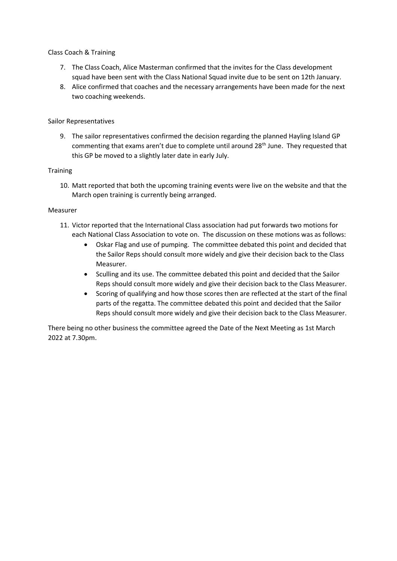## Class Coach & Training

- 7. The Class Coach, Alice Masterman confirmed that the invites for the Class development squad have been sent with the Class National Squad invite due to be sent on 12th January.
- 8. Alice confirmed that coaches and the necessary arrangements have been made for the next two coaching weekends.

## Sailor Representatives

9. The sailor representatives confirmed the decision regarding the planned Hayling Island GP commenting that exams aren't due to complete until around 28<sup>th</sup> June. They requested that this GP be moved to a slightly later date in early July.

## **Training**

10. Matt reported that both the upcoming training events were live on the website and that the March open training is currently being arranged.

## Measurer

- 11. Victor reported that the International Class association had put forwards two motions for each National Class Association to vote on. The discussion on these motions was as follows:
	- Oskar Flag and use of pumping. The committee debated this point and decided that the Sailor Reps should consult more widely and give their decision back to the Class Measurer.
	- Sculling and its use. The committee debated this point and decided that the Sailor Reps should consult more widely and give their decision back to the Class Measurer.
	- Scoring of qualifying and how those scores then are reflected at the start of the final parts of the regatta. The committee debated this point and decided that the Sailor Reps should consult more widely and give their decision back to the Class Measurer.

There being no other business the committee agreed the Date of the Next Meeting as 1st March 2022 at 7.30pm.